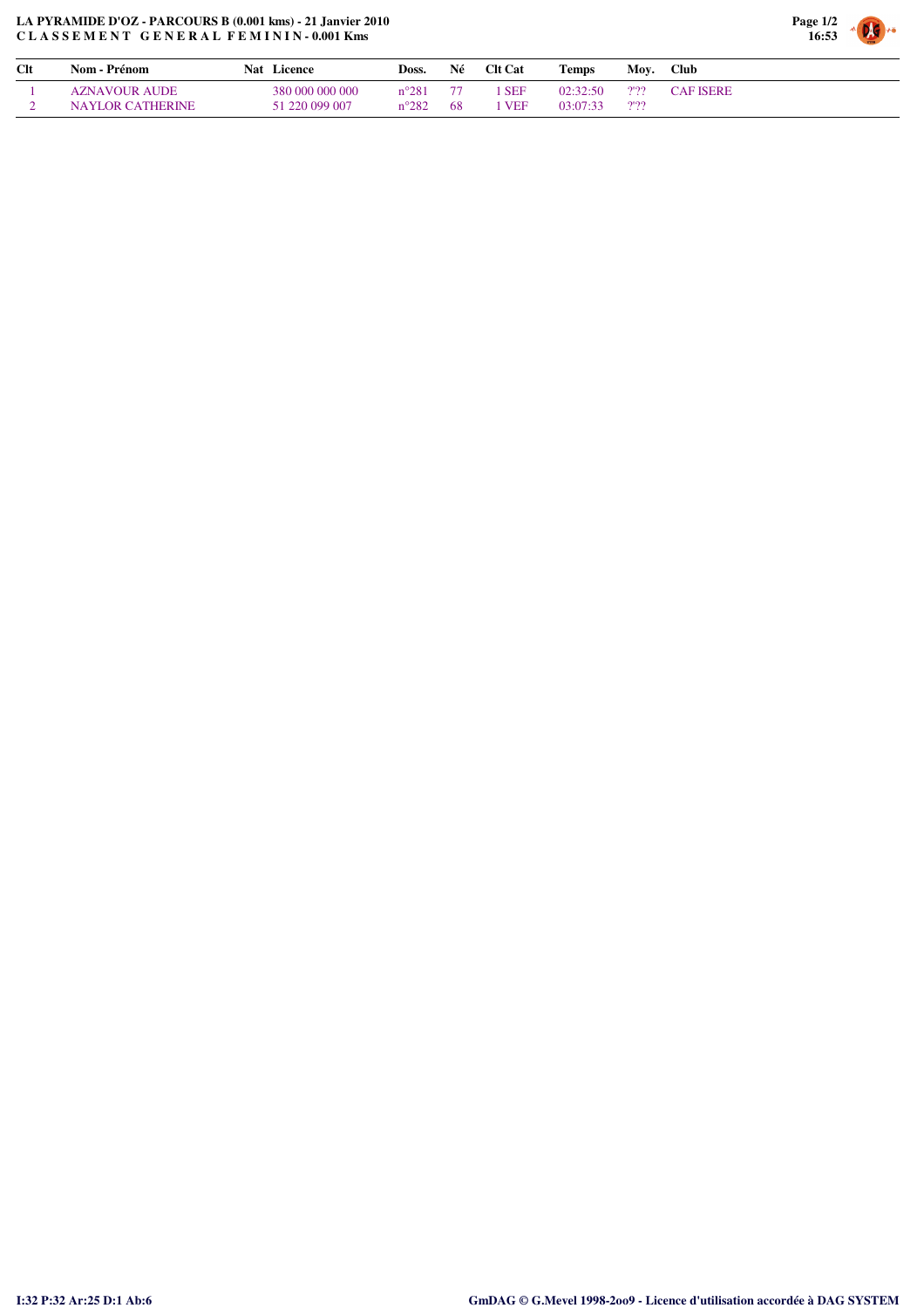## **LA PYRAMIDE D'OZ - PARCOURS B (0.001 kms) - 21 Janvier 2010 C L A S S E M E N T G E N E R A L F E M I N I N - 0.001 Kms**



| Clt | Nom - Prénom            | Licence<br>Nat  | Doss.          | Né | <b>Clt Cat</b> | <b>Temps</b> | Mov. | <b>Club</b>      |
|-----|-------------------------|-----------------|----------------|----|----------------|--------------|------|------------------|
|     | <b>AZNAVOUR AUDE</b>    | 380 000 000 000 | $n^{\circ}281$ |    | <b>SEF</b>     | 02.32.50     | 2'22 | <b>CAF ISERE</b> |
|     | <b>NAYLOR CATHERINE</b> | 51 220 099 007  | $n^{\circ}282$ | 68 | <b>VEF</b>     | 03:07:33     | 2'22 |                  |